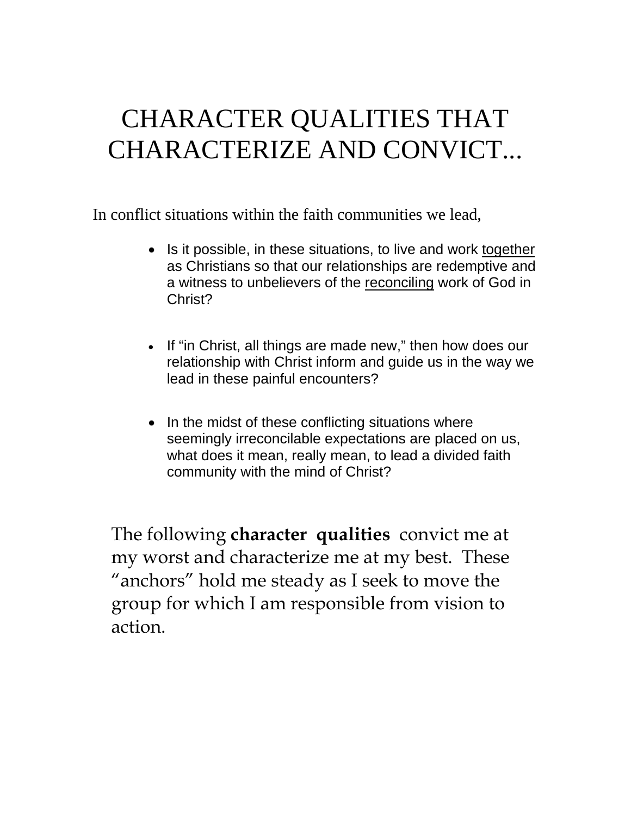## CHARACTER QUALITIES THAT CHARACTERIZE AND CONVICT...

In conflict situations within the faith communities we lead,

- Is it possible, in these situations, to live and work together as Christians so that our relationships are redemptive and a witness to unbelievers of the reconciling work of God in Christ?
- If "in Christ, all things are made new," then how does our relationship with Christ inform and guide us in the way we lead in these painful encounters?
- In the midst of these conflicting situations where seemingly irreconcilable expectations are placed on us, what does it mean, really mean, to lead a divided faith community with the mind of Christ?

The following **character qualities** convict me at my worst and characterize me at my best. These "anchors" hold me steady as I seek to move the group for which I am responsible from vision to action.